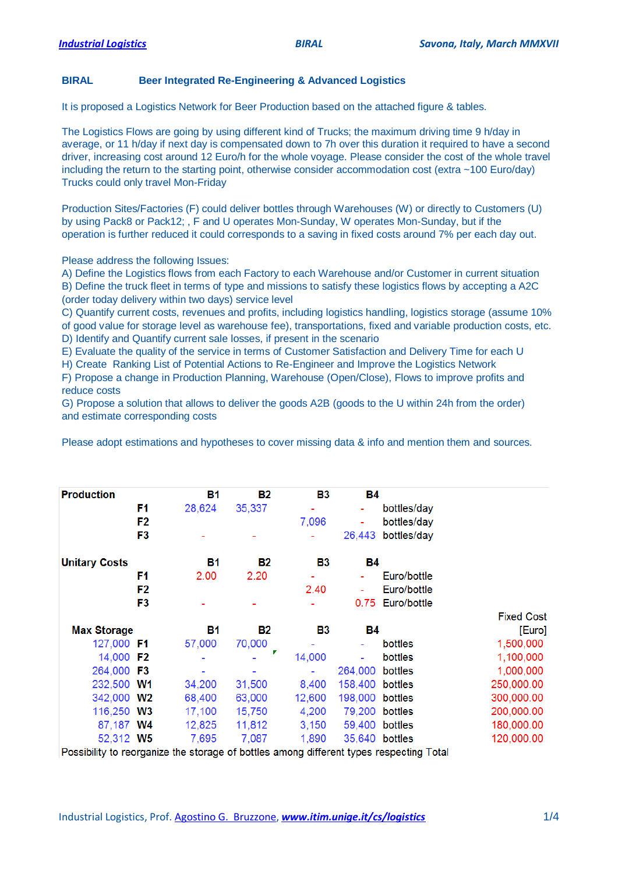## **BIRAL Beer Integrated Re-Engineering & Advanced Logistics**

It is proposed a Logistics Network for Beer Production based on the attached figure & tables.

The Logistics Flows are going by using different kind of Trucks; the maximum driving time 9 h/day in average, or 11 h/day if next day is compensated down to 7h over this duration it required to have a second driver, increasing cost around 12 Euro/h for the whole voyage. Please consider the cost of the whole travel including the return to the starting point, otherwise consider accommodation cost (extra ~100 Euro/day) Trucks could only travel Mon-Friday

Production Sites/Factories (F) could deliver bottles through Warehouses (W) or directly to Customers (U) by using Pack8 or Pack12; , F and U operates Mon-Sunday, W operates Mon-Sunday, but if the operation is further reduced it could corresponds to a saving in fixed costs around 7% per each day out.

Please address the following Issues:

A) Define the Logistics flows from each Factory to each Warehouse and/or Customer in current situation B) Define the truck fleet in terms of type and missions to satisfy these logistics flows by accepting a A2C (order today delivery within two days) service level

C) Quantify current costs, revenues and profits, including logistics handling, logistics storage (assume 10% of good value for storage level as warehouse fee), transportations, fixed and variable production costs, etc. D) Identify and Quantify current sale losses, if present in the scenario

E) Evaluate the quality of the service in terms of Customer Satisfaction and Delivery Time for each U

H) Create Ranking List of Potential Actions to Re-Engineer and Improve the Logistics Network

F) Propose a change in Production Planning, Warehouse (Open/Close), Flows to improve profits and reduce costs

G) Propose a solution that allows to deliver the goods A2B (goods to the U within 24h from the order) and estimate corresponding costs

Please adopt estimations and hypotheses to cover missing data & info and mention them and sources.

| <b>Production</b>    | <b>B1</b> | <b>B2</b> | В3     | <b>B4</b>      |                  |                   |
|----------------------|-----------|-----------|--------|----------------|------------------|-------------------|
| F1                   | 28,624    | 35,337    |        |                | bottles/day      |                   |
| F <sub>2</sub>       |           |           | 7,096  |                | bottles/day      |                   |
| F <sub>3</sub>       |           |           |        | 26,443         | bottles/day      |                   |
| <b>Unitary Costs</b> | В1        | <b>B2</b> | В3     | В4             |                  |                   |
| F1                   | 2.00      | 2.20      |        |                | Euro/bottle      |                   |
| F <sub>2</sub>       |           |           | 2.40   |                | Euro/bottle      |                   |
| F3                   |           |           |        |                | 0.75 Euro/bottle |                   |
|                      |           |           |        |                |                  | <b>Fixed Cost</b> |
| <b>Max Storage</b>   | В1        | <b>B2</b> | В3     | <b>B4</b>      |                  | [Euro]            |
| 127,000 F1           | 57,000    | 70,000    |        |                | bottles          | 1,500,000         |
| 14,000 F2            |           |           | 14,000 |                | bottles          | 1,100,000         |
| 264,000 F3           |           |           |        | 264,000        | bottles          | 1,000,000         |
| 232,500 W1           | 34,200    | 31,500    | 8,400  | 158,400        | bottles          | 250,000.00        |
| 342,000 W2           | 68,400    | 63,000    | 12,600 | 198,000        | bottles          | 300,000.00        |
| 116,250 W3           | 17,100    | 15,750    | 4,200  | 79,200 bottles |                  | 200,000.00        |
| 87,187 W4            | 12,825    | 11,812    | 3,150  |                | 59,400 bottles   | 180,000.00        |
| 52,312 W5            | 7,695     | 7,087     | 1,890  |                | 35,640 bottles   | 120,000.00        |

Possibility to reorganize the storage of bottles among different types respecting Total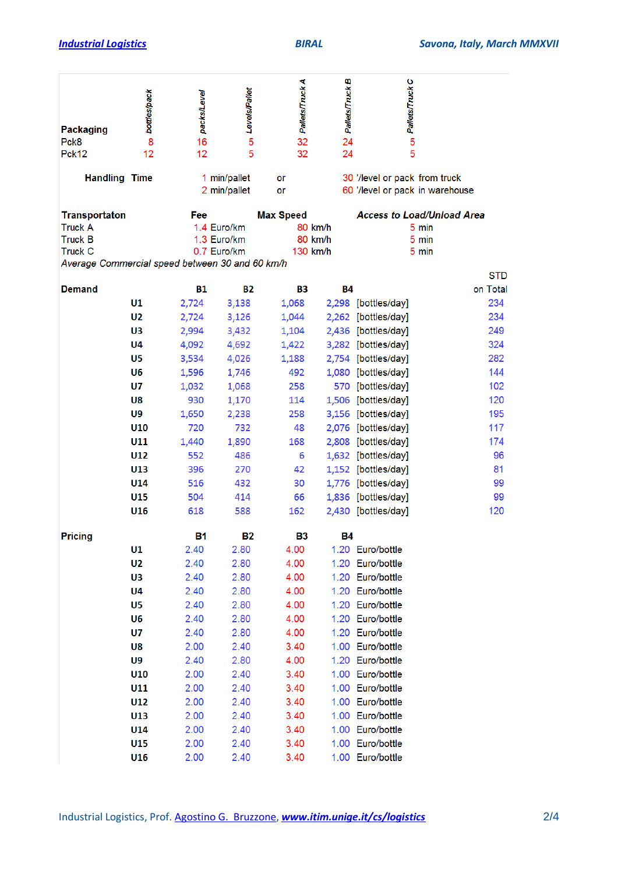| <b>Packaging</b><br>Pck8<br>Pck12                                          | bottles/pack<br>8<br>12 | packs/Level<br>16<br>12                                                                             | Levels/Pallet<br>5<br>5 | Pallets/Truck A<br>32<br>32 | Pallets/Truck B<br>24<br>24    | on Pallets/Truck C<br>5              |                                                                            |     |
|----------------------------------------------------------------------------|-------------------------|-----------------------------------------------------------------------------------------------------|-------------------------|-----------------------------|--------------------------------|--------------------------------------|----------------------------------------------------------------------------|-----|
| <b>Handling Time</b>                                                       |                         | 1 min/pallet<br>2 min/pallet                                                                        |                         | or<br>or                    |                                | 30 '/level or pack from truck        | 60 '/level or pack in warehouse                                            |     |
| <b>Transportaton</b><br><b>Truck A</b><br><b>Truck B</b><br><b>Truck C</b> |                         | Fee<br>1.4 Euro/km<br>1.3 Euro/km<br>0.7 Euro/km<br>Average Commercial speed between 30 and 60 km/h |                         | <b>Max Speed</b>            | 80 km/h<br>80 km/h<br>130 km/h |                                      | <b>Access to Load/Unload Area</b><br>5 min<br>5 min<br>5 min<br><b>STD</b> |     |
| <b>Demand</b>                                                              |                         | <b>B1</b>                                                                                           | <b>B2</b>               | <b>B3</b>                   | <b>B4</b>                      |                                      | on Total                                                                   |     |
|                                                                            | U1                      | 2,724                                                                                               | 3,138                   | 1,068                       |                                | 2,298 [bottles/day]                  |                                                                            | 234 |
|                                                                            | U <sub>2</sub>          | 2,724                                                                                               | 3,126                   | 1,044                       | 2,262                          | [bottles/day]                        |                                                                            | 234 |
|                                                                            | U3                      | 2,994                                                                                               | 3,432                   | 1,104                       |                                | 2,436 [bottles/day]                  |                                                                            | 249 |
|                                                                            | U <sub>4</sub>          | 4,092                                                                                               | 4,692                   | 1,422                       |                                | 3,282 [bottles/day]                  |                                                                            | 324 |
|                                                                            | U5                      | 3,534                                                                                               | 4,026                   | 1,188                       |                                | 2,754 [bottles/day]                  |                                                                            | 282 |
|                                                                            | U <sub>6</sub>          | 1,596                                                                                               | 1,746                   | 492                         |                                | 1,080 [bottles/day]                  |                                                                            | 144 |
|                                                                            | U7                      | 1,032                                                                                               | 1,068                   | 258                         | 570.                           | [bottles/day]                        |                                                                            | 102 |
|                                                                            | U8                      | 930                                                                                                 | 1,170                   | 114                         |                                | 1,506 [bottles/day]                  |                                                                            | 120 |
|                                                                            | U9                      | 1,650                                                                                               | 2,238                   | 258                         |                                | 3,156 [bottles/day]                  |                                                                            | 195 |
|                                                                            | U10                     | 720                                                                                                 | 732                     | 48                          |                                | 2,076 [bottles/day]                  |                                                                            | 117 |
|                                                                            | U11                     | 1,440                                                                                               | 1,890                   | 168                         | 2,808                          | [bottles/day]                        |                                                                            | 174 |
|                                                                            | U12                     | 552                                                                                                 | 486                     | 6                           |                                | 1,632 [bottles/day]                  |                                                                            | 96  |
|                                                                            | U13                     | 396                                                                                                 | 270                     | 42                          |                                | 1,152 [bottles/day]                  |                                                                            | 81  |
|                                                                            | U14                     | 516                                                                                                 | 432                     | 30                          |                                | 1,776 [bottles/day]                  |                                                                            | 99  |
|                                                                            | U15                     | 504                                                                                                 | 414                     | 66                          |                                | 1,836 [bottles/day]                  |                                                                            | 99  |
|                                                                            | U16                     | 618                                                                                                 | 588                     | 162                         |                                | 2,430 [bottles/day]                  |                                                                            | 120 |
| <b>Pricing</b>                                                             |                         | В1                                                                                                  | <b>B2</b>               | В3                          | Β4                             |                                      |                                                                            |     |
|                                                                            | U1                      | 2.40                                                                                                | 2.80                    | 4.00                        |                                | 1.20 Euro/bottle                     |                                                                            |     |
|                                                                            | U2                      | 2.40                                                                                                | 2.80                    | 4.00                        |                                | 1.20 Euro/bottle                     |                                                                            |     |
|                                                                            | U3                      | 2.40                                                                                                | 2.80                    | 4.00                        |                                | 1.20 Euro/bottle                     |                                                                            |     |
|                                                                            | U4                      | 2.40                                                                                                | 2.80                    | 4.00                        |                                | 1.20 Euro/bottle                     |                                                                            |     |
|                                                                            | U5                      | 2.40                                                                                                | 2.80                    | 4.00                        |                                | 1.20 Euro/bottle                     |                                                                            |     |
|                                                                            | U <sub>6</sub>          | 2.40                                                                                                | 2.80                    | 4.00                        |                                | 1.20 Euro/bottle                     |                                                                            |     |
|                                                                            | U7                      | 2.40                                                                                                | 2.80                    | 4.00                        |                                | 1.20 Euro/bottle                     |                                                                            |     |
|                                                                            | U8                      | 2.00                                                                                                | 2.40                    | 3.40                        |                                | 1.00 Euro/bottle                     |                                                                            |     |
|                                                                            | U9                      | 2.40                                                                                                | 2.80                    | 4.00                        |                                | 1.20 Euro/bottle                     |                                                                            |     |
|                                                                            | U10                     | 2.00                                                                                                | 2.40                    | 3.40                        |                                | 1.00 Euro/bottle                     |                                                                            |     |
|                                                                            | U11                     | 2.00                                                                                                | 2.40                    | 3.40                        |                                | 1.00 Euro/bottle                     |                                                                            |     |
|                                                                            | U12                     | 2.00                                                                                                | 2.40                    | 3.40                        |                                | 1.00 Euro/bottle                     |                                                                            |     |
|                                                                            | U13<br>U14              | 2.00                                                                                                | 2.40                    | 3.40                        |                                | 1.00 Euro/bottle<br>1.00 Euro/bottle |                                                                            |     |
|                                                                            | U15                     | 2.00<br>2.00                                                                                        | 2.40<br>2.40            | 3.40<br>3.40                |                                | 1.00 Euro/bottle                     |                                                                            |     |
|                                                                            | U16                     | 2.00                                                                                                | 2.40                    | 3.40                        |                                | 1.00 Euro/bottle                     |                                                                            |     |
|                                                                            |                         |                                                                                                     |                         |                             |                                |                                      |                                                                            |     |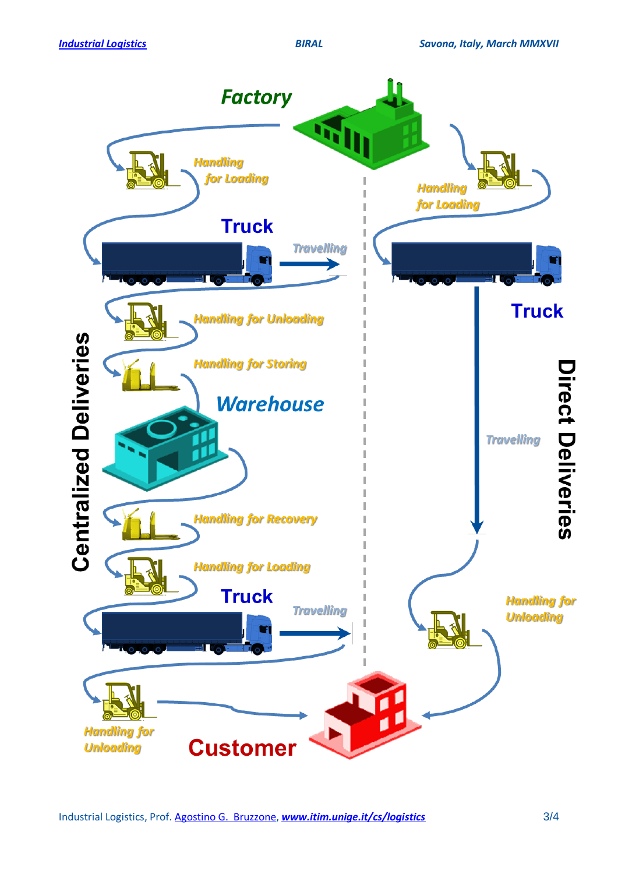